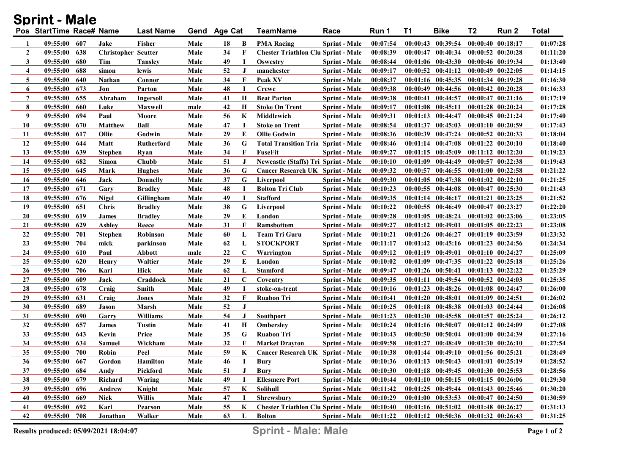| <b>Sprint - Male</b> |                          |      |                            |                   |      |              |             |                                            |                      |          |    |                                     |                       |                       |              |
|----------------------|--------------------------|------|----------------------------|-------------------|------|--------------|-------------|--------------------------------------------|----------------------|----------|----|-------------------------------------|-----------------------|-----------------------|--------------|
|                      | Pos StartTime Race# Name |      |                            | <b>Last Name</b>  |      | Gend Age Cat |             | <b>TeamName</b>                            | Race                 | Run 1    | T1 | <b>Bike</b>                         | T <sub>2</sub>        | Run 2                 | <b>Total</b> |
| 1                    | 09:55:00 607             |      | Jake                       | Fisher            | Male | 18           | B           | <b>PMA Racing</b>                          | <b>Sprint - Male</b> | 00:07:54 |    | $00:00:43$ $00:39:54$               |                       | 00:00:40 00:18:17     | 01:07:28     |
| $\overline{2}$       | 09:55:00                 | 638  | <b>Christopher Scutter</b> |                   | Male | 34           | F           | <b>Chester Triathlon Clu Sprint - Male</b> |                      | 00:08:39 |    | $00:00:47$ $00:40:34$               |                       | $00:00:52$ $00:20:28$ | 01:11:20     |
| 3                    | 09:55:00                 | 680  | Tim                        | <b>Tansley</b>    | Male | 49           | I           | Oswestry                                   | <b>Sprint - Male</b> | 00:08:44 |    | $00:01:06$ $00:43:30$               |                       | $00:00:46$ $00:19:34$ | 01:13:40     |
| $\overline{4}$       | 09:55:00                 | 688  | simon                      | lewis             | Male | 52           | J           | manchester                                 | <b>Sprint - Male</b> | 00:09:17 |    | $00:00:52$ $00:41:12$               |                       | $00:00:49$ $00:22:05$ | 01:14:15     |
| 5                    | 09:55:00                 | 640  | Nathan                     | Connor            | Male | 34           | F           | Peak XV                                    | <b>Sprint - Male</b> | 00:08:37 |    | $00:01:16$ $00:45:35$               | $00:01:34$ $00:19:28$ |                       | 01:16:30     |
| 6                    | 09:55:00                 | 673  | Jon                        | Parton            | Male | 48           | $\mathbf I$ | <b>Crewe</b>                               | <b>Sprint - Male</b> | 00:09:38 |    | $00:00:49$ $00:44:56$               |                       | $00:00:42$ $00:20:28$ | 01:16:33     |
| 7                    | 09:55:00                 | 655  | Abraham                    | Ingersoll         | Male | 41           | H           | <b>Beat Parton</b>                         | <b>Sprint - Male</b> | 00:09:38 |    | 00:00:41 00:44:57                   |                       | $00:00:47$ $00:21:16$ | 01:17:19     |
| 8                    | 09:55:00                 | 660  | Luke                       | <b>Maxwell</b>    | male | 42           | H           | <b>Stoke On Trent</b>                      | <b>Sprint - Male</b> | 00:09:17 |    | $00:01:08$ $00:45:11$               |                       | $00:01:28$ $00:20:24$ | 01:17:28     |
| 9                    | 09:55:00                 | 694  | Paul                       | Moore             | Male | 56           | K           | Middlewich                                 | <b>Sprint - Male</b> | 00:09:31 |    | 00:01:13 00:44:47                   |                       | $00:00:45$ $00:21:24$ | 01:17:40     |
| 10                   | 09:55:00                 | 670  | <b>Matthew</b>             | <b>Ball</b>       | Male | 47           | П           | <b>Stoke on Trent</b>                      | <b>Sprint - Male</b> | 00:08:54 |    | $00:01:37$ $00:45:03$               |                       | $00:01:10$ $00:20:59$ | 01:17:43     |
| 11                   | 09:55:00                 | 617  | Ollie                      | Godwin            | Male | 29           | E           | <b>Ollie Godwin</b>                        | <b>Sprint - Male</b> | 00:08:36 |    | 00:00:39 00:47:24                   |                       | $00:00:52$ $00:20:33$ | 01:18:04     |
| 12                   | 09:55:00                 | 644  | Matt                       | <b>Rutherford</b> | Male | 36           | G           | <b>Total Transition Tria Sprint - Male</b> |                      | 00:08:46 |    | $00:01:14$ $00:47:08$               |                       | $00:01:22$ $00:20:10$ | 01:18:40     |
| 13                   | 09:55:00                 | 639  | <b>Stephen</b>             | Ryan              | Male | 34           | F           | FuseFit                                    | <b>Sprint - Male</b> | 00:09:27 |    | 00:01:15 00:45:09                   |                       | $00:11:12$ $00:12:20$ | 01:19:23     |
| 14                   | 09:55:00                 | 682  | <b>Simon</b>               | Chubb             | Male | 51           | J           | Newcastle (Staffs) Tri Sprint - Male       |                      | 00:10:10 |    | 00:01:09 00:44:49                   |                       | $00:00:57$ $00:22:38$ | 01:19:43     |
| 15                   | 09:55:00                 | 645  | Mark                       | <b>Hughes</b>     | Male | 36           | G           | Cancer Research UK Sprint - Male           |                      | 00:09:32 |    | 00:00:57 00:46:55                   |                       | $00:01:00$ $00:22:58$ | 01:21:22     |
| 16                   | 09:55:00                 | 646  | Jack                       | <b>Donnelly</b>   | Male | 37           | G           | Liverpool                                  | Sprint - Male        | 00:09:30 |    | $00:01:05$ $00:47:38$               |                       | $00:01:02$ $00:22:10$ | 01:21:25     |
| 17                   | 09:55:00                 | 671  | Gary                       | <b>Bradley</b>    | Male | 48           | П           | <b>Bolton Tri Club</b>                     | <b>Sprint - Male</b> | 00:10:23 |    | $00:00:55$ $00:44:08$               |                       | $00:00:47$ $00:25:30$ | 01:21:43     |
| 18                   | 09:55:00                 | 676  | <b>Nigel</b>               | Gillingham        | Male | 49           | П           | <b>Stafford</b>                            | <b>Sprint - Male</b> | 00:09:35 |    | 00:01:14 00:46:17                   |                       | $00:01:21$ $00:23:25$ | 01:21:52     |
| 19                   | 09:55:00                 | 651  | <b>Chris</b>               | <b>Bradley</b>    | Male | 38           | G           | Liverpool                                  | <b>Sprint - Male</b> | 00:10:22 |    | $00:00:55$ $00:46:49$               |                       | $00:00:47$ $00:23:27$ | 01:22:20     |
| 20                   | 09:55:00                 | 619  | <b>James</b>               | <b>Bradley</b>    | Male | 29           | E           | London                                     | <b>Sprint - Male</b> | 00:09:28 |    | $00:01:05$ $00:48:24$               |                       | $00:01:02$ $00:23:06$ | 01:23:05     |
| 21                   | 09:55:00                 | 629  | <b>Ashley</b>              | Reece             | Male | 31           | F           | <b>Ramsbottom</b>                          | <b>Sprint - Male</b> | 00:09:27 |    | $00:01:12$ $00:49:01$               |                       | $00:01:05$ $00:22:23$ | 01:23:08     |
| 22                   | 09:55:00                 | 701  | <b>Stephen</b>             | <b>Robinson</b>   | Male | 60           | L           | <b>Team Tri Guru</b>                       | <b>Sprint - Male</b> | 00:10:21 |    | 00:01:26 00:46:27                   |                       | $00:01:19$ $00:23:59$ | 01:23:32     |
| 23                   | 09:55:00                 | 704  | mick                       | parkinson         | Male | 62           | L           | <b>STOCKPORT</b>                           | <b>Sprint - Male</b> | 00:11:17 |    | $00:01:42$ $00:45:16$               |                       | $00:01:23$ $00:24:56$ | 01:24:34     |
| 24                   | 09:55:00                 | 610  | Paul                       | Abbott            | male | 22           | C           | Warrington                                 | <b>Sprint - Male</b> | 00:09:12 |    | $00:01:19$ $00:49:01$               |                       | $00:01:10$ $00:24:27$ | 01:25:09     |
| 25                   | 09:55:00                 | 620  | Henry                      | Waltier           | Male | 29           | E           | London                                     | <b>Sprint - Male</b> | 00:10:02 |    | $00:01:09$ $00:47:35$               |                       | $00:01:22$ $00:25:18$ | 01:25:26     |
| 26                   | 09:55:00                 | 706  | Karl                       | Hick              | Male | 62           | L           | <b>Stamford</b>                            | <b>Sprint - Male</b> | 00:09:47 |    | 00:01:26 00:50:41                   |                       | $00:01:13$ $00:22:22$ | 01:25:29     |
| 27                   | 09:55:00                 | 609  | <b>Jack</b>                | Craddock          | Male | 21           | $\mathbf C$ | Coventry                                   | <b>Sprint - Male</b> | 00:09:35 |    | 00:01:11 00:49:54                   |                       | $00:00:52$ $00:24:03$ | 01:25:35     |
| 28                   | 09:55:00                 | 678  | Craig                      | <b>Smith</b>      | Male | 49           |             | stoke-on-trent                             | <b>Sprint - Male</b> | 00:10:16 |    | $00:01:23$ $00:48:26$               |                       | $00:01:08$ $00:24:47$ | 01:26:00     |
| 29                   | 09:55:00                 | 631  | Craig                      | Jones             | Male | 32           | F           | <b>Ruabon Tri</b>                          | <b>Sprint - Male</b> | 00:10:41 |    | $00:01:20$ $00:48:01$               | $00:01:09$ $00:24:51$ |                       | 01:26:02     |
| 30                   | 09:55:00                 | 689  | Jason                      | Marsh             | Male | 52           | J           |                                            | <b>Sprint - Male</b> | 00:10:25 |    | $00:01:18$ $00:48:38$               |                       | $00:01:03$ $00:24:44$ | 01:26:08     |
| 31                   | 09:55:00                 | 690  | Garry                      | <b>Williams</b>   | Male | 54           | J           | <b>Southport</b>                           | <b>Sprint - Male</b> | 00:11:23 |    | $00:01:30$ $00:45:58$               |                       | $00:01:57$ $00:25:24$ | 01:26:12     |
| 32                   | 09:55:00                 | 657  | <b>James</b>               | <b>Tustin</b>     | Male | 41           | H           | <b>Ombersley</b>                           | <b>Sprint - Male</b> | 00:10:24 |    | 00:01:16 00:50:07                   |                       | 00:01:12 00:24:09     | 01:27:08     |
| 33                   | 09:55:00                 | 643  | Kevin                      | Price             | Male | 35           | G           | <b>Ruabon Tri</b>                          | <b>Sprint - Male</b> | 00:10:43 |    | 00:00:50 00:50:04                   |                       | 00:01:00 00:24:39     | 01:27:16     |
| 34                   | 09:55:00                 | 634  | <b>Samuel</b>              | Wickham           | Male | 32           | F           | <b>Market Drayton</b>                      | <b>Sprint - Male</b> | 00:09:58 |    | $00:01:27$ $00:48:49$               |                       | $00:01:30$ $00:26:10$ | 01:27:54     |
| 35                   | 09:55:00                 | -700 | Robin                      | Peel              | Male | 59           | K           | Cancer Research UK Sprint - Male           |                      | 00:10:38 |    | 00:01:44 00:49:10 00:01:56 00:25:21 |                       |                       | 01:28:49     |
| 36                   | 09:55:00                 | 667  | Gordon                     | <b>Hamilton</b>   | Male | 46           |             | Bury                                       | <b>Sprint - Male</b> | 00:10:36 |    | $00:01:13$ $00:50:43$               | $00:01:01$ $00:25:19$ |                       | 01:28:52     |
| 37                   | 09:55:00                 | 684  | Andy                       | Pickford          | Male | 51           | J           | Bury                                       | <b>Sprint - Male</b> | 00:10:30 |    | $00:01:18$ $00:49:45$               | $00:01:30$ $00:25:53$ |                       | 01:28:56     |
| 38                   | 09:55:00                 | 679  | Richard                    | Waring            | Male | 49           |             | <b>Ellesmere Port</b>                      | Sprint - Male        | 00:10:44 |    | $00:01:10$ $00:50:15$               | 00:01:15 00:26:06     |                       | 01:29:30     |
| 39                   | 09:55:00                 | 696  | Andrew                     | Knight            | Male | 57           | K           | Solihull                                   | Sprint - Male        | 00:11:42 |    | $00:01:25$ 00:49:44                 |                       | 00:01:43 00:25:46     | 01:30:20     |
| 40                   | 09:55:00                 | 669  | <b>Nick</b>                | <b>Willis</b>     | Male | 47           |             | <b>Shrewsbury</b>                          | <b>Sprint - Male</b> | 00:10:29 |    | $00:01:00$ $00:53:53$               |                       | $00:00:47$ $00:24:50$ | 01:30:59     |
| 41                   | 09:55:00                 | 692  | Karl                       | <b>Pearson</b>    | Male | 55           | K           | <b>Chester Triathlon Clu Sprint - Male</b> |                      | 00:10:40 |    | $00:01:16$ $00:51:02$               |                       | $00:01:48$ $00:26:27$ | 01:31:13     |
| 42                   | 09:55:00                 | 708  | Jonathan                   | Walker            | Male | 63           | L           | <b>Bolton</b>                              | <b>Sprint - Male</b> | 00:11:22 |    | $00:01:12$ $00:50:36$               | $00:01:32$ $00:26:43$ |                       | 01:31:25     |